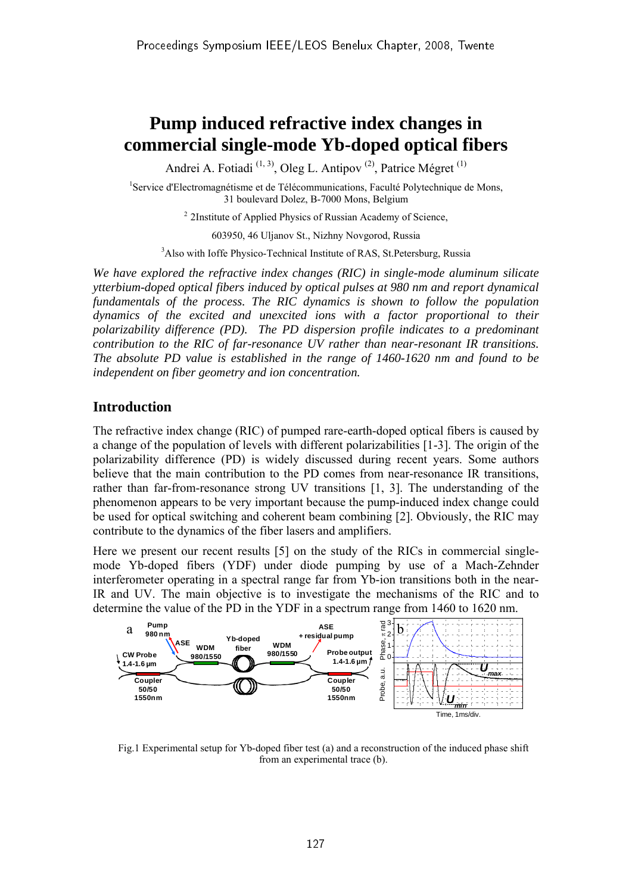# **Pump induced refractive index changes in commercial single-mode Yb-doped optical fibers**

Andrei A. Fotiadi<sup>(1, 3)</sup>, Oleg L. Antipov<sup>(2)</sup>, Patrice Mégret<sup>(1)</sup>

<sup>1</sup>Service d'Electromagnétisme et de Télécommunications, Faculté Polytechnique de Mons, 31 boulevard Dolez, B-7000 Mons, Belgium

<sup>2</sup> 2Institute of Applied Physics of Russian Academy of Science,

603950, 46 Uljanov St., Nizhny Novgorod, Russia

<sup>3</sup>Also with Ioffe Physico-Technical Institute of RAS, St.Petersburg, Russia

*We have explored the refractive index changes (RIC) in single-mode aluminum silicate ytterbium-doped optical fibers induced by optical pulses at 980 nm and report dynamical fundamentals of the process. The RIC dynamics is shown to follow the population dynamics of the excited and unexcited ions with a factor proportional to their polarizability difference (PD). The PD dispersion profile indicates to a predominant contribution to the RIC of far-resonance UV rather than near-resonant IR transitions. The absolute PD value is established in the range of 1460-1620 nm and found to be independent on fiber geometry and ion concentration.* 

## **Introduction**

The refractive index change (RIC) of pumped rare-earth-doped optical fibers is caused by a change of the population of levels with different polarizabilities [1-3]. The origin of the polarizability difference (PD) is widely discussed during recent years. Some authors believe that the main contribution to the PD comes from near-resonance IR transitions, rather than far-from-resonance strong UV transitions [1, 3]. The understanding of the phenomenon appears to be very important because the pump-induced index change could be used for optical switching and coherent beam combining [2]. Obviously, the RIC may contribute to the dynamics of the fiber lasers and amplifiers.

Here we present our recent results [5] on the study of the RICs in commercial singlemode Yb-doped fibers (YDF) under diode pumping by use of a Mach-Zehnder interferometer operating in a spectral range far from Yb-ion transitions both in the near-IR and UV. The main objective is to investigate the mechanisms of the RIC and to determine the value of the PD in the YDF in a spectrum range from 1460 to 1620 nm.



Fig.1 Experimental setup for Yb-doped fiber test (a) and a reconstruction of the induced phase shift from an experimental trace (b).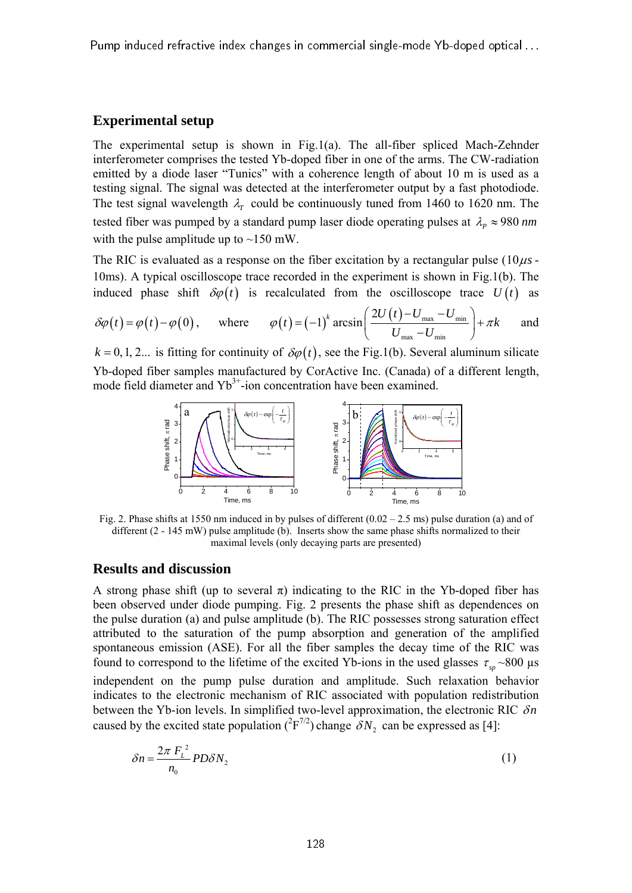Pump induced refractive index changes in commercial single-mode Yb-doped optical . . .

#### **Experimental setup**

The experimental setup is shown in Fig.1(a). The all-fiber spliced Mach-Zehnder interferometer comprises the tested Yb-doped fiber in one of the arms. The CW-radiation emitted by a diode laser "Tunics" with a coherence length of about 10 m is used as a testing signal. The signal was detected at the interferometer output by a fast photodiode. The test signal wavelength  $\lambda_r$  could be continuously tuned from 1460 to 1620 nm. The tested fiber was pumped by a standard pump laser diode operating pulses at  $\lambda_p \approx 980$  *nm* with the pulse amplitude up to  $\sim$ 150 mW.

The RIC is evaluated as a response on the fiber excitation by a rectangular pulse  $(10 \mu s -$ 10ms). A typical oscilloscope trace recorded in the experiment is shown in Fig.1(b). The induced phase shift  $\delta\varphi(t)$  is recalculated from the oscilloscope trace  $U(t)$  as

$$
\delta\varphi(t) = \varphi(t) - \varphi(0), \quad \text{where} \quad \varphi(t) = (-1)^k \arcsin\left(\frac{2U(t) - U_{\text{max}} - U_{\text{min}}}{U_{\text{max}} - U_{\text{min}}}\right) + \pi k \quad \text{and}
$$

 $k = 0, 1, 2...$  is fitting for continuity of  $\delta \varphi(t)$ , see the Fig.1(b). Several aluminum silicate Yb-doped fiber samples manufactured by CorActive Inc. (Canada) of a different length, mode field diameter and  $Yb^{3+}$ -ion concentration have been examined.



Fig. 2. Phase shifts at 1550 nm induced in by pulses of different  $(0.02 - 2.5 \text{ ms})$  pulse duration (a) and of different (2 - 145 mW) pulse amplitude (b). Inserts show the same phase shifts normalized to their maximal levels (only decaying parts are presented)

### **Results and discussion**

A strong phase shift (up to several  $\pi$ ) indicating to the RIC in the Yb-doped fiber has been observed under diode pumping. Fig. 2 presents the phase shift as dependences on the pulse duration (a) and pulse amplitude (b). The RIC possesses strong saturation effect attributed to the saturation of the pump absorption and generation of the amplified spontaneous emission (ASE). For all the fiber samples the decay time of the RIC was found to correspond to the lifetime of the excited Yb-ions in the used glasses  $\tau_{\text{m}} \sim 800 \text{ }\mu\text{s}$ 

independent on the pump pulse duration and amplitude. Such relaxation behavior indicates to the electronic mechanism of RIC associated with population redistribution between the Yb-ion levels. In simplified two-level approximation, the electronic RIC δn caused by the excited state population  $({}^2F^{7/2})$  change  $\delta N_2$  can be expressed as [4]:

$$
\delta n = \frac{2\pi F_L^2}{n_0} P D \delta N_2 \tag{1}
$$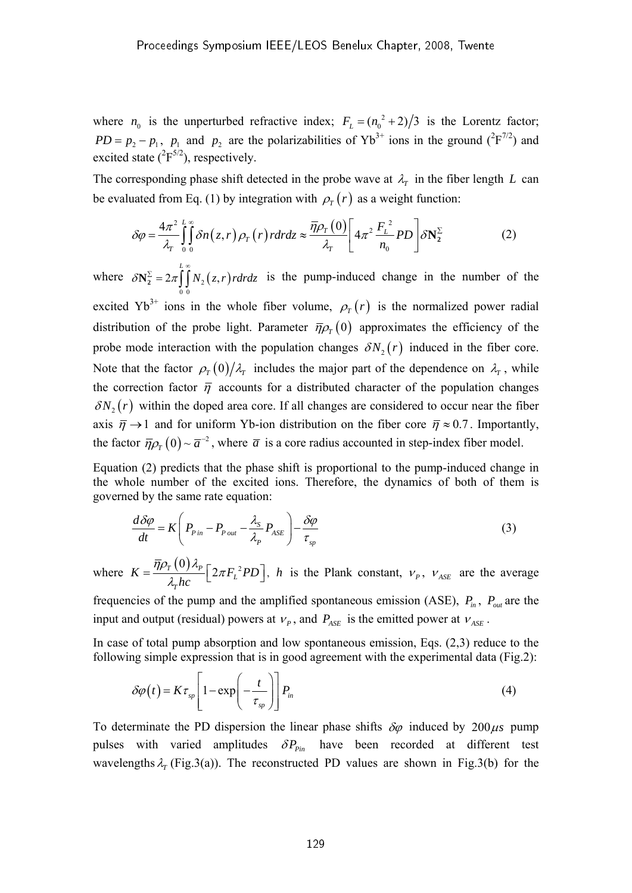where  $n_0$  is the unperturbed refractive index;  $F_L = (n_0^2 + 2)/3$  is the Lorentz factor;  $PD = p_2 - p_1$ ,  $p_1$  and  $p_2$  are the polarizabilities of Yb<sup>3+</sup> ions in the ground (<sup>2</sup>F<sup>7/2</sup>) and excited state  $({}^{2}F^{5/2})$ , respectively.

The corresponding phase shift detected in the probe wave at  $\lambda_r$  in the fiber length *L* can be evaluated from Eq. (1) by integration with  $\rho_T(r)$  as a weight function:

$$
\delta \varphi = \frac{4\pi^2}{\lambda_r} \int_0^L \int_0^{\infty} \delta n(z, r) \rho_r(r) r dr dz \approx \frac{\overline{\eta} \rho_r(0)}{\lambda_r} \left[ 4\pi^2 \frac{F_L^2}{n_0} PD \right] \delta N_2^{\Sigma}
$$
 (2)

where  $\delta N_2^{\Sigma} = 2 \pi \int N_2(z, r)$ 0 0 *L*  $\delta N_2^2 = 2\pi \mid N_2(z,r)$ rdrdz  $N_2^{\Sigma} = 2\pi \int_{0}^{\frac{L}{2}} N_2(z, r) r dr dz$  is the pump-induced change in the number of the excited Yb<sup>3+</sup> ions in the whole fiber volume,  $\rho_T(r)$  is the normalized power radial distribution of the probe light. Parameter  $\bar{\eta}\rho_{\tau}(0)$  approximates the efficiency of the probe mode interaction with the population changes  $\delta N_2(r)$  induced in the fiber core. Note that the factor  $\rho_r(0)/\lambda_r$  includes the major part of the dependence on  $\lambda_r$ , while the correction factor  $\bar{\eta}$  accounts for a distributed character of the population changes  $\delta N_2(r)$  within the doped area core. If all changes are considered to occur near the fiber axis  $\bar{\eta} \rightarrow 1$  and for uniform Yb-ion distribution on the fiber core  $\bar{\eta} \approx 0.7$ . Importantly, the factor  $\overline{\eta}\rho_r(0) \sim \overline{a}^{-2}$ , where  $\overline{a}$  is a core radius accounted in step-index fiber model.

Equation (2) predicts that the phase shift is proportional to the pump-induced change in the whole number of the excited ions. Therefore, the dynamics of both of them is governed by the same rate equation:

$$
\frac{d\delta\varphi}{dt} = K \left( P_{\text{pin}} - P_{\text{out}} - \frac{\lambda_s}{\lambda_p} P_{\text{ASE}} \right) - \frac{\delta\varphi}{\tau_{\text{sp}}} \tag{3}
$$

where  $K = \frac{\overline{\eta} \rho_T(0) \lambda_P}{\lambda_L} \left[ 2 \pi F_L^2 \right]$ *T*  $K = \frac{TPT(S)P}{2\pi F_L^2PD}$ *hc*  $=\frac{\overline{\eta}\rho_{T}(0)\lambda_{P}}{\lambda_{P}hc} \left[2\pi F_{L}^{2}PD\right], h$  is the Plank constant,  $v_{P}$ ,  $v_{ASE}$  are the average

frequencies of the pump and the amplified spontaneous emission (ASE),  $P_{in}$ ,  $P_{out}$  are the input and output (residual) powers at  $v_p$ , and  $P_{\text{ASE}}$  is the emitted power at  $v_{\text{ASE}}$ .

In case of total pump absorption and low spontaneous emission, Eqs. (2,3) reduce to the following simple expression that is in good agreement with the experimental data (Fig.2):

$$
\delta \varphi(t) = K \tau_{sp} \left[ 1 - \exp\left(-\frac{t}{\tau_{sp}}\right) \right] P_{in} \tag{4}
$$

To determinate the PD dispersion the linear phase shifts  $\delta\varphi$  induced by 200 $\mu$ s pump pulses with varied amplitudes  $\delta P_{\text{pin}}$  have been recorded at different test wavelengths  $\lambda_r$  (Fig.3(a)). The reconstructed PD values are shown in Fig.3(b) for the